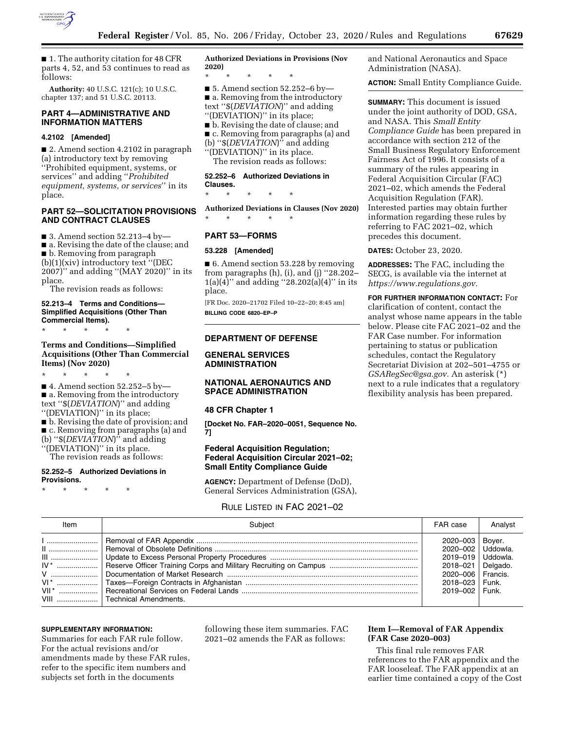

■ 1. The authority citation for 48 CFR parts 4, 52, and 53 continues to read as follows:

**Authority:** 40 U.S.C. 121(c); 10 U.S.C. chapter 137; and 51 U.S.C. 20113.

# **PART 4—ADMINISTRATIVE AND INFORMATION MATTERS**

### **4.2102 [Amended]**

■ 2. Amend section 4.2102 in paragraph (a) introductory text by removing ''Prohibited equipment, systems, or services'' and adding ''*Prohibited equipment, systems, or services*'' in its place.

### **PART 52—SOLICITATION PROVISIONS AND CONTRACT CLAUSES**

■ 3. Amend section 52.213-4 by-

■ a. Revising the date of the clause; and

■ b. Removing from paragraph

(b)(1)(xiv) introductory text ''(DEC 2007)'' and adding ''(MAY 2020)'' in its place.

The revision reads as follows:

#### **52.213–4 Terms and Conditions— Simplified Acquisitions (Other Than Commercial Items).**

\* \* \* \* \*

### **Terms and Conditions—Simplified Acquisitions (Other Than Commercial Items) (Nov 2020)**

\* \* \* \* \*  $\blacksquare$  4. Amend section 52.252–5 by ■ a. Removing from the introductory text ''\$(*DEVIATION*)'' and adding ''(DEVIATION)'' in its place; ■ b. Revising the date of provision; and ■ c. Removing from paragraphs (a) and (b) ''\$(*DEVIATION*)'' and adding ''(DEVIATION)'' in its place.

The revision reads as follows:

#### **52.252–5 Authorized Deviations in Provisions.**

\* \* \* \* \*

**Authorized Deviations in Provisions (Nov 2020)** 

\* \* \* \* \* ■ 5. Amend section 52.252–6 by—

■ a. Removing from the introductory text ''\$(*DEVIATION*)'' and adding ''(DEVIATION)'' in its place;

■ b. Revising the date of clause; and ■ c. Removing from paragraphs (a) and (b) ''\$(*DEVIATION*)'' and adding ''(DEVIATION)'' in its place.

The revision reads as follows:

### **52.252–6 Authorized Deviations in Clauses.**

\* \* \* \* \*

**Authorized Deviations in Clauses (Nov 2020)**  \* \* \* \* \*

# **PART 53—FORMS**

#### **53.228 [Amended]**

■ 6. Amend section 53.228 by removing from paragraphs (h), (i), and (j) ''28.202–  $1(a)(4)$ " and adding "28.202(a)(4)" in its place.

[FR Doc. 2020–21702 Filed 10–22–20; 8:45 am] **BILLING CODE 6820–EP–P** 

# **DEPARTMENT OF DEFENSE**

### **GENERAL SERVICES ADMINISTRATION**

# **NATIONAL AERONAUTICS AND SPACE ADMINISTRATION**

#### **48 CFR Chapter 1**

**[Docket No. FAR–2020–0051, Sequence No. 7]** 

# **Federal Acquisition Regulation; Federal Acquisition Circular 2021–02; Small Entity Compliance Guide**

**AGENCY:** Department of Defense (DoD), General Services Administration (GSA),

# RULE LISTED IN FAC 2021–02

| Item | Subject                       | FAR case                                                                                                                                     | Analyst |
|------|-------------------------------|----------------------------------------------------------------------------------------------------------------------------------------------|---------|
|      | VIII    Technical Amendments. | 2020-003<br>2020-002   Uddowla.<br>2019–019   Uddowla.<br>2018-021 Delgado.<br>2020-006   Francis.<br>2018-023   Funk.<br>$2019 - 002$ Funk. | Bover.  |

#### **SUPPLEMENTARY INFORMATION:**

Summaries for each FAR rule follow. For the actual revisions and/or amendments made by these FAR rules, refer to the specific item numbers and subjects set forth in the documents

following these item summaries. FAC 2021–02 amends the FAR as follows:

# **Item I—Removal of FAR Appendix (FAR Case 2020–003)**

This final rule removes FAR references to the FAR appendix and the FAR looseleaf. The FAR appendix at an earlier time contained a copy of the Cost

and National Aeronautics and Space Administration (NASA).

**ACTION:** Small Entity Compliance Guide.

**SUMMARY:** This document is issued under the joint authority of DOD, GSA, and NASA. This *Small Entity Compliance Guide* has been prepared in accordance with section 212 of the Small Business Regulatory Enforcement Fairness Act of 1996. It consists of a summary of the rules appearing in Federal Acquisition Circular (FAC) 2021–02, which amends the Federal Acquisition Regulation (FAR). Interested parties may obtain further information regarding these rules by referring to FAC 2021–02, which precedes this document.

**DATES:** October 23, 2020.

**ADDRESSES:** The FAC, including the SECG, is available via the internet at *[https://www.regulations.gov.](https://www.regulations.gov)* 

**FOR FURTHER INFORMATION CONTACT:** For clarification of content, contact the analyst whose name appears in the table below. Please cite FAC 2021–02 and the FAR Case number. For information pertaining to status or publication schedules, contact the Regulatory Secretariat Division at 202–501–4755 or *[GSARegSec@gsa.gov.](mailto:GSARegSec@gsa.gov)* An asterisk (\*) next to a rule indicates that a regulatory flexibility analysis has been prepared.